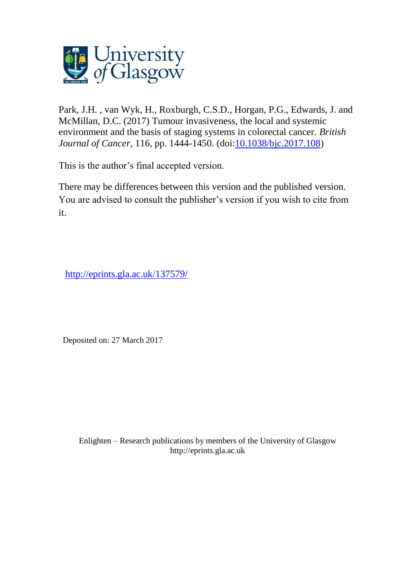

Park, J.H. , van Wyk, H., Roxburgh, C.S.D., Horgan, P.G., Edwards, J. and McMillan, D.C. (2017) Tumour invasiveness, the local and systemic environment and the basis of staging systems in colorectal cancer. *British Journal of Cancer*, 116, pp. 1444-1450. (doi[:10.1038/bjc.2017.108\)](http://dx.doi.org/10.1038/bjc.2017.108)

This is the author's final accepted version.

There may be differences between this version and the published version. You are advised to consult the publisher's version if you wish to cite from it.

<http://eprints.gla.ac.uk/137579/>

Deposited on: 27 March 2017

Enlighten – Research publications by members of the University of Glasgo[w](http://eprints.gla.ac.uk/) [http://eprints.gla.ac.uk](http://eprints.gla.ac.uk/)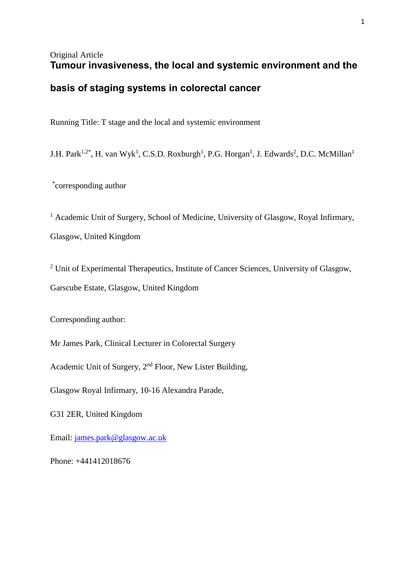# Original Article **Tumour invasiveness, the local and systemic environment and the**

# **basis of staging systems in colorectal cancer**

Running Title: T stage and the local and systemic environment

J.H. Park<sup>1,2\*</sup>, H. van Wyk<sup>1</sup>, C.S.D. Roxburgh<sup>1</sup>, P.G. Horgan<sup>1</sup>, J. Edwards<sup>2</sup>, D.C. McMillan<sup>1</sup>

\* corresponding author

<sup>1</sup> Academic Unit of Surgery, School of Medicine, University of Glasgow, Royal Infirmary, Glasgow, United Kingdom

<sup>2</sup> Unit of Experimental Therapeutics, Institute of Cancer Sciences, University of Glasgow, Garscube Estate, Glasgow, United Kingdom

Corresponding author:

Mr James Park, Clinical Lecturer in Colorectal Surgery

Academic Unit of Surgery, 2nd Floor, New Lister Building,

Glasgow Royal Infirmary, 10-16 Alexandra Parade,

G31 2ER, United Kingdom

Email: [james.park@glasgow.ac.uk](mailto:james.park@glasgow.ac.uk)

Phone: +441412018676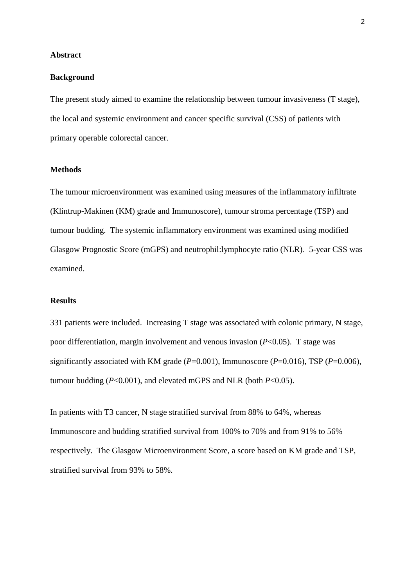#### **Abstract**

#### **Background**

The present study aimed to examine the relationship between tumour invasiveness (T stage), the local and systemic environment and cancer specific survival (CSS) of patients with primary operable colorectal cancer.

#### **Methods**

The tumour microenvironment was examined using measures of the inflammatory infiltrate (Klintrup-Makinen (KM) grade and Immunoscore), tumour stroma percentage (TSP) and tumour budding. The systemic inflammatory environment was examined using modified Glasgow Prognostic Score (mGPS) and neutrophil:lymphocyte ratio (NLR). 5-year CSS was examined.

### **Results**

331 patients were included. Increasing T stage was associated with colonic primary, N stage, poor differentiation, margin involvement and venous invasion (*P*<0.05). T stage was significantly associated with KM grade (*P*=0.001), Immunoscore (*P*=0.016), TSP (*P*=0.006), tumour budding (*P*<0.001), and elevated mGPS and NLR (both *P*<0.05).

In patients with T3 cancer, N stage stratified survival from 88% to 64%, whereas Immunoscore and budding stratified survival from 100% to 70% and from 91% to 56% respectively. The Glasgow Microenvironment Score, a score based on KM grade and TSP, stratified survival from 93% to 58%.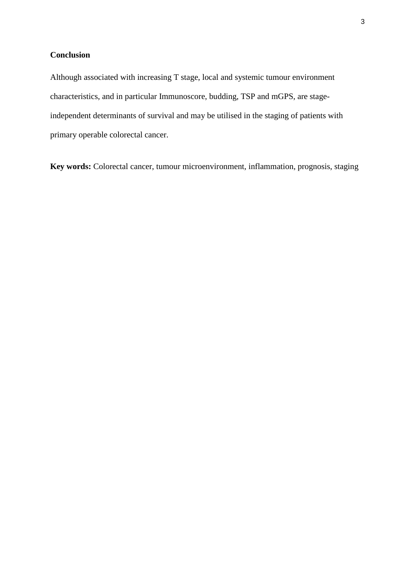## **Conclusion**

Although associated with increasing T stage, local and systemic tumour environment characteristics, and in particular Immunoscore, budding, TSP and mGPS, are stageindependent determinants of survival and may be utilised in the staging of patients with primary operable colorectal cancer.

**Key words:** Colorectal cancer, tumour microenvironment, inflammation, prognosis, staging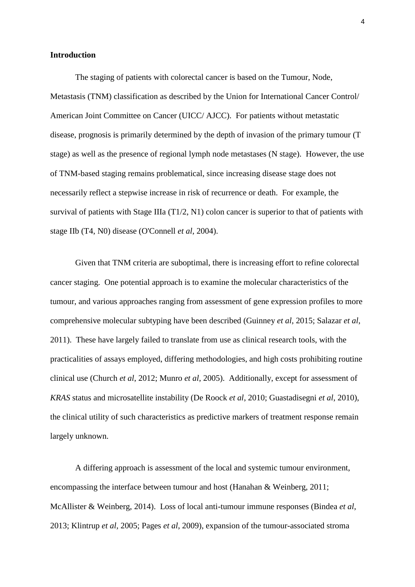#### **Introduction**

The staging of patients with colorectal cancer is based on the Tumour, Node, Metastasis (TNM) classification as described by the Union for International Cancer Control/ American Joint Committee on Cancer (UICC/ AJCC). For patients without metastatic disease, prognosis is primarily determined by the depth of invasion of the primary tumour (T stage) as well as the presence of regional lymph node metastases (N stage). However, the use of TNM-based staging remains problematical, since increasing disease stage does not necessarily reflect a stepwise increase in risk of recurrence or death. For example, the survival of patients with Stage IIIa (T1/2, N1) colon cancer is superior to that of patients with stage IIb (T4, N0) disease (O'Connell *et al*, 2004).

Given that TNM criteria are suboptimal, there is increasing effort to refine colorectal cancer staging. One potential approach is to examine the molecular characteristics of the tumour, and various approaches ranging from assessment of gene expression profiles to more comprehensive molecular subtyping have been described (Guinney *et al*, 2015; Salazar *et al*, 2011). These have largely failed to translate from use as clinical research tools, with the practicalities of assays employed, differing methodologies, and high costs prohibiting routine clinical use (Church *et al*, 2012; Munro *et al*, 2005). Additionally, except for assessment of *KRAS* status and microsatellite instability (De Roock *et al*, 2010; Guastadisegni *et al*, 2010), the clinical utility of such characteristics as predictive markers of treatment response remain largely unknown.

A differing approach is assessment of the local and systemic tumour environment, encompassing the interface between tumour and host (Hanahan & Weinberg, 2011; McAllister & Weinberg, 2014). Loss of local anti-tumour immune responses (Bindea *et al*, 2013; Klintrup *et al*, 2005; Pages *et al*, 2009), expansion of the tumour-associated stroma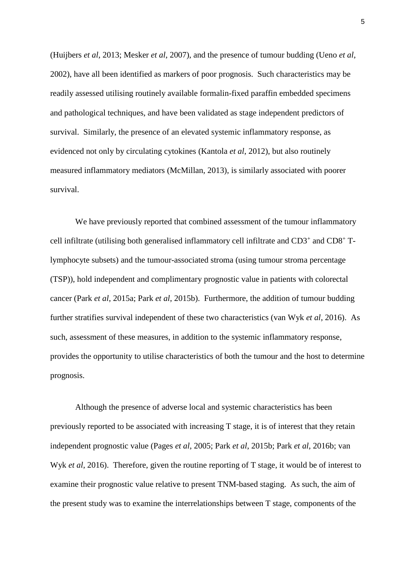(Huijbers *et al*, 2013; Mesker *et al*, 2007), and the presence of tumour budding (Ueno *et al*, 2002), have all been identified as markers of poor prognosis. Such characteristics may be readily assessed utilising routinely available formalin-fixed paraffin embedded specimens and pathological techniques, and have been validated as stage independent predictors of survival. Similarly, the presence of an elevated systemic inflammatory response, as evidenced not only by circulating cytokines (Kantola *et al*, 2012), but also routinely measured inflammatory mediators (McMillan, 2013), is similarly associated with poorer survival.

We have previously reported that combined assessment of the tumour inflammatory cell infiltrate (utilising both generalised inflammatory cell infiltrate and CD3<sup>+</sup> and CD8<sup>+</sup> Tlymphocyte subsets) and the tumour-associated stroma (using tumour stroma percentage (TSP)), hold independent and complimentary prognostic value in patients with colorectal cancer (Park *et al*, 2015a; Park *et al*, 2015b). Furthermore, the addition of tumour budding further stratifies survival independent of these two characteristics (van Wyk *et al*, 2016). As such, assessment of these measures, in addition to the systemic inflammatory response, provides the opportunity to utilise characteristics of both the tumour and the host to determine prognosis.

Although the presence of adverse local and systemic characteristics has been previously reported to be associated with increasing T stage, it is of interest that they retain independent prognostic value (Pages *et al*, 2005; Park *et al*, 2015b; Park *et al*, 2016b; van Wyk *et al*, 2016). Therefore, given the routine reporting of T stage, it would be of interest to examine their prognostic value relative to present TNM-based staging. As such, the aim of the present study was to examine the interrelationships between T stage, components of the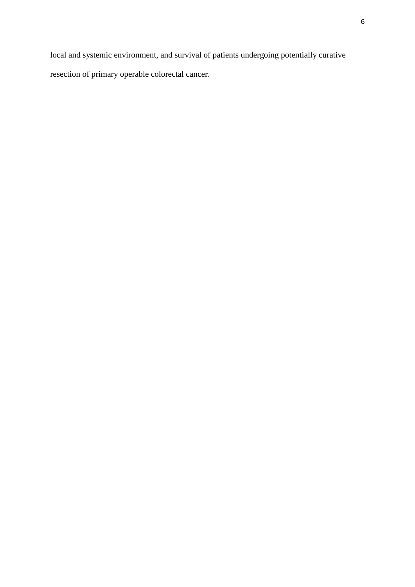local and systemic environment, and survival of patients undergoing potentially curative resection of primary operable colorectal cancer.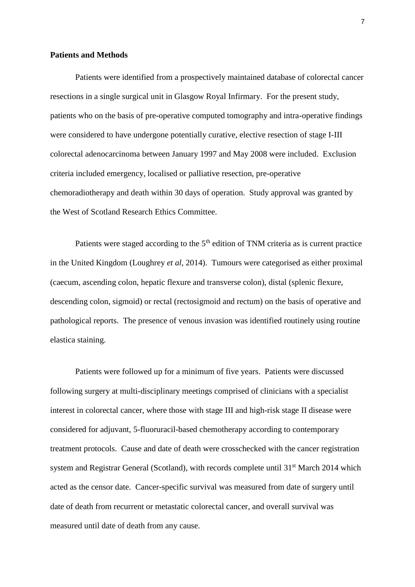#### **Patients and Methods**

Patients were identified from a prospectively maintained database of colorectal cancer resections in a single surgical unit in Glasgow Royal Infirmary. For the present study, patients who on the basis of pre-operative computed tomography and intra-operative findings were considered to have undergone potentially curative, elective resection of stage I-III colorectal adenocarcinoma between January 1997 and May 2008 were included. Exclusion criteria included emergency, localised or palliative resection, pre-operative chemoradiotherapy and death within 30 days of operation. Study approval was granted by the West of Scotland Research Ethics Committee.

Patients were staged according to the  $5<sup>th</sup>$  edition of TNM criteria as is current practice in the United Kingdom (Loughrey *et al*, 2014). Tumours were categorised as either proximal (caecum, ascending colon, hepatic flexure and transverse colon), distal (splenic flexure, descending colon, sigmoid) or rectal (rectosigmoid and rectum) on the basis of operative and pathological reports. The presence of venous invasion was identified routinely using routine elastica staining.

Patients were followed up for a minimum of five years. Patients were discussed following surgery at multi-disciplinary meetings comprised of clinicians with a specialist interest in colorectal cancer, where those with stage III and high-risk stage II disease were considered for adjuvant, 5-fluoruracil-based chemotherapy according to contemporary treatment protocols. Cause and date of death were crosschecked with the cancer registration system and Registrar General (Scotland), with records complete until 31<sup>st</sup> March 2014 which acted as the censor date. Cancer-specific survival was measured from date of surgery until date of death from recurrent or metastatic colorectal cancer, and overall survival was measured until date of death from any cause.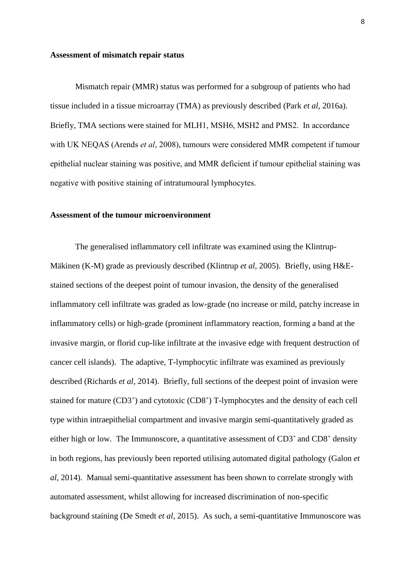#### **Assessment of mismatch repair status**

Mismatch repair (MMR) status was performed for a subgroup of patients who had tissue included in a tissue microarray (TMA) as previously described (Park *et al*, 2016a). Briefly, TMA sections were stained for MLH1, MSH6, MSH2 and PMS2. In accordance with UK NEQAS (Arends *et al*, 2008), tumours were considered MMR competent if tumour epithelial nuclear staining was positive, and MMR deficient if tumour epithelial staining was negative with positive staining of intratumoural lymphocytes.

#### **Assessment of the tumour microenvironment**

The generalised inflammatory cell infiltrate was examined using the Klintrup-Mäkinen (K-M) grade as previously described (Klintrup *et al*, 2005). Briefly, using H&Estained sections of the deepest point of tumour invasion, the density of the generalised inflammatory cell infiltrate was graded as low-grade (no increase or mild, patchy increase in inflammatory cells) or high-grade (prominent inflammatory reaction, forming a band at the invasive margin, or florid cup-like infiltrate at the invasive edge with frequent destruction of cancer cell islands). The adaptive, T-lymphocytic infiltrate was examined as previously described (Richards *et al*, 2014). Briefly, full sections of the deepest point of invasion were stained for mature (CD3<sup>+</sup>) and cytotoxic (CD8<sup>+</sup>) T-lymphocytes and the density of each cell type within intraepithelial compartment and invasive margin semi-quantitatively graded as either high or low. The Immunoscore, a quantitative assessment of  $CD3^+$  and  $CD8^+$  density in both regions, has previously been reported utilising automated digital pathology (Galon *et al*, 2014). Manual semi-quantitative assessment has been shown to correlate strongly with automated assessment, whilst allowing for increased discrimination of non-specific background staining (De Smedt *et al*, 2015). As such, a semi-quantitative Immunoscore was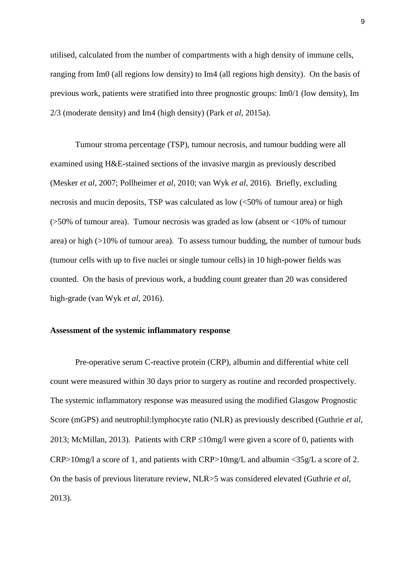utilised, calculated from the number of compartments with a high density of immune cells, ranging from Im0 (all regions low density) to Im4 (all regions high density). On the basis of previous work, patients were stratified into three prognostic groups: Im0/1 (low density), Im 2/3 (moderate density) and Im4 (high density) (Park *et al*, 2015a).

Tumour stroma percentage (TSP), tumour necrosis, and tumour budding were all examined using H&E-stained sections of the invasive margin as previously described (Mesker *et al*, 2007; Pollheimer *et al*, 2010; van Wyk *et al*, 2016). Briefly, excluding necrosis and mucin deposits, TSP was calculated as low (<50% of tumour area) or high ( $>50\%$  of tumour area). Tumour necrosis was graded as low (absent or  $<10\%$  of tumour area) or high (>10% of tumour area). To assess tumour budding, the number of tumour buds (tumour cells with up to five nuclei or single tumour cells) in 10 high-power fields was counted. On the basis of previous work, a budding count greater than 20 was considered high-grade (van Wyk *et al*, 2016).

#### **Assessment of the systemic inflammatory response**

Pre-operative serum C-reactive protein (CRP), albumin and differential white cell count were measured within 30 days prior to surgery as routine and recorded prospectively. The systemic inflammatory response was measured using the modified Glasgow Prognostic Score (mGPS) and neutrophil:lymphocyte ratio (NLR) as previously described (Guthrie *et al*, 2013; McMillan, 2013). Patients with CRP  $\leq 10$ mg/l were given a score of 0, patients with CRP>10mg/l a score of 1, and patients with CRP>10mg/L and albumin <35g/L a score of 2. On the basis of previous literature review, NLR>5 was considered elevated (Guthrie *et al*, 2013).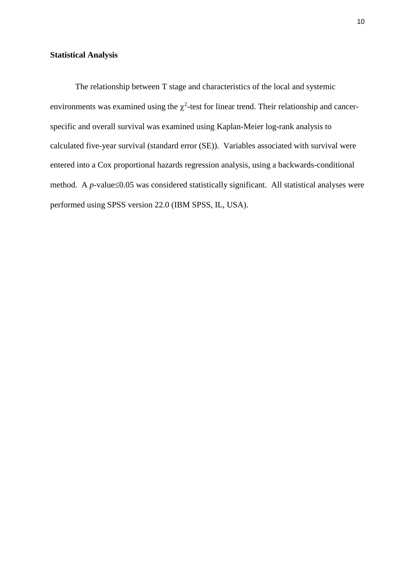### **Statistical Analysis**

The relationship between T stage and characteristics of the local and systemic environments was examined using the  $\chi^2$ -test for linear trend. Their relationship and cancerspecific and overall survival was examined using Kaplan-Meier log-rank analysis to calculated five-year survival (standard error (SE)). Variables associated with survival were entered into a Cox proportional hazards regression analysis, using a backwards-conditional method. A  $p$ -value $\leq$ 0.05 was considered statistically significant. All statistical analyses were performed using SPSS version 22.0 (IBM SPSS, IL, USA).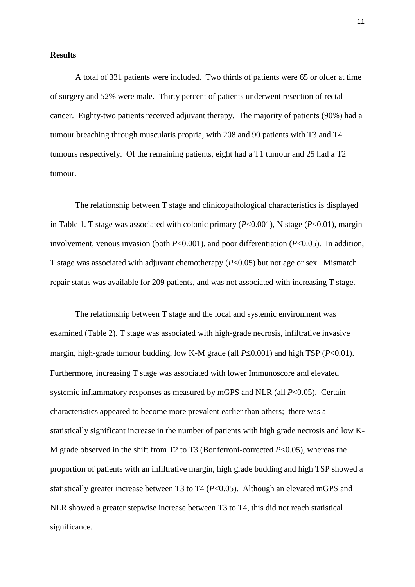#### **Results**

A total of 331 patients were included. Two thirds of patients were 65 or older at time of surgery and 52% were male. Thirty percent of patients underwent resection of rectal cancer. Eighty-two patients received adjuvant therapy. The majority of patients (90%) had a tumour breaching through muscularis propria, with 208 and 90 patients with T3 and T4 tumours respectively. Of the remaining patients, eight had a T1 tumour and 25 had a T2 tumour.

The relationship between T stage and clinicopathological characteristics is displayed in Table 1. T stage was associated with colonic primary (*P*<0.001), N stage (*P*<0.01), margin involvement, venous invasion (both *P*<0.001), and poor differentiation (*P*<0.05). In addition, T stage was associated with adjuvant chemotherapy  $(P<0.05)$  but not age or sex. Mismatch repair status was available for 209 patients, and was not associated with increasing T stage.

The relationship between T stage and the local and systemic environment was examined (Table 2). T stage was associated with high-grade necrosis, infiltrative invasive margin, high-grade tumour budding, low K-M grade (all  $P\leq 0.001$ ) and high TSP ( $P<0.01$ ). Furthermore, increasing T stage was associated with lower Immunoscore and elevated systemic inflammatory responses as measured by mGPS and NLR (all *P*<0.05). Certain characteristics appeared to become more prevalent earlier than others; there was a statistically significant increase in the number of patients with high grade necrosis and low K-M grade observed in the shift from T2 to T3 (Bonferroni-corrected *P*<0.05), whereas the proportion of patients with an infiltrative margin, high grade budding and high TSP showed a statistically greater increase between T3 to T4 (*P*<0.05). Although an elevated mGPS and NLR showed a greater stepwise increase between T3 to T4, this did not reach statistical significance.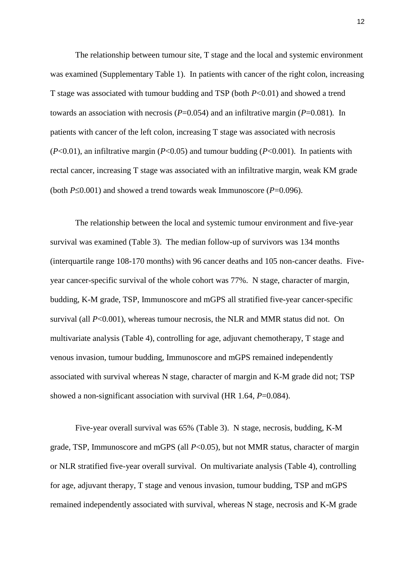The relationship between tumour site, T stage and the local and systemic environment was examined (Supplementary Table 1). In patients with cancer of the right colon, increasing T stage was associated with tumour budding and TSP (both *P*<0.01) and showed a trend towards an association with necrosis (*P*=0.054) and an infiltrative margin (*P*=0.081)*.* In patients with cancer of the left colon, increasing T stage was associated with necrosis (*P*<0.01), an infiltrative margin (*P*<0.05) and tumour budding (*P*<0.001). In patients with rectal cancer, increasing T stage was associated with an infiltrative margin, weak KM grade (both  $P \le 0.001$ ) and showed a trend towards weak Immunoscore ( $P = 0.096$ ).

The relationship between the local and systemic tumour environment and five-year survival was examined (Table 3). The median follow-up of survivors was 134 months (interquartile range 108-170 months) with 96 cancer deaths and 105 non-cancer deaths. Fiveyear cancer-specific survival of the whole cohort was 77%. N stage, character of margin, budding, K-M grade, TSP, Immunoscore and mGPS all stratified five-year cancer-specific survival (all  $P<0.001$ ), whereas tumour necrosis, the NLR and MMR status did not. On multivariate analysis (Table 4), controlling for age, adjuvant chemotherapy, T stage and venous invasion, tumour budding, Immunoscore and mGPS remained independently associated with survival whereas N stage, character of margin and K-M grade did not; TSP showed a non-significant association with survival (HR 1.64, *P*=0.084).

Five-year overall survival was 65% (Table 3). N stage, necrosis, budding, K-M grade, TSP, Immunoscore and mGPS (all *P*<0.05), but not MMR status, character of margin or NLR stratified five-year overall survival. On multivariate analysis (Table 4), controlling for age, adjuvant therapy, T stage and venous invasion, tumour budding, TSP and mGPS remained independently associated with survival, whereas N stage, necrosis and K-M grade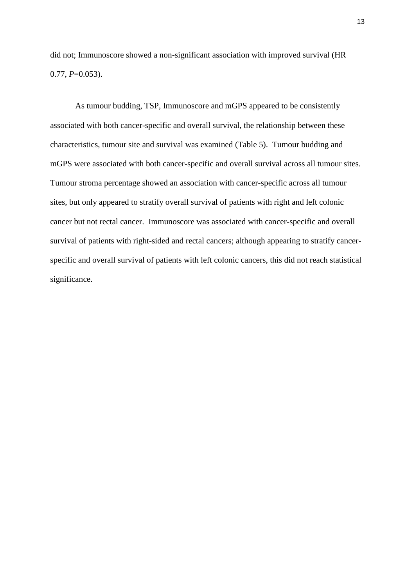did not; Immunoscore showed a non-significant association with improved survival (HR  $0.77, P=0.053$ .

As tumour budding, TSP, Immunoscore and mGPS appeared to be consistently associated with both cancer-specific and overall survival, the relationship between these characteristics, tumour site and survival was examined (Table 5). Tumour budding and mGPS were associated with both cancer-specific and overall survival across all tumour sites. Tumour stroma percentage showed an association with cancer-specific across all tumour sites, but only appeared to stratify overall survival of patients with right and left colonic cancer but not rectal cancer. Immunoscore was associated with cancer-specific and overall survival of patients with right-sided and rectal cancers; although appearing to stratify cancerspecific and overall survival of patients with left colonic cancers, this did not reach statistical significance.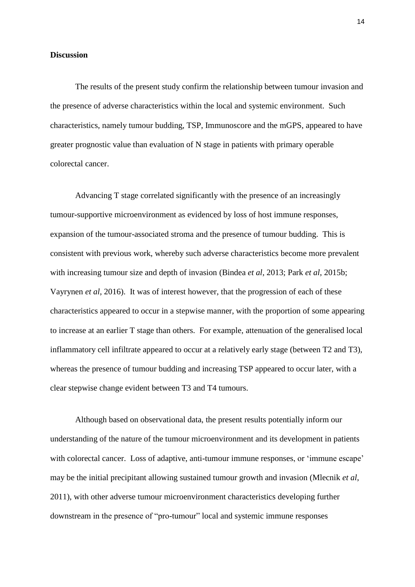#### **Discussion**

The results of the present study confirm the relationship between tumour invasion and the presence of adverse characteristics within the local and systemic environment. Such characteristics, namely tumour budding, TSP, Immunoscore and the mGPS, appeared to have greater prognostic value than evaluation of N stage in patients with primary operable colorectal cancer.

Advancing T stage correlated significantly with the presence of an increasingly tumour-supportive microenvironment as evidenced by loss of host immune responses, expansion of the tumour-associated stroma and the presence of tumour budding. This is consistent with previous work, whereby such adverse characteristics become more prevalent with increasing tumour size and depth of invasion (Bindea *et al*, 2013; Park *et al*, 2015b; Vayrynen *et al*, 2016). It was of interest however, that the progression of each of these characteristics appeared to occur in a stepwise manner, with the proportion of some appearing to increase at an earlier T stage than others. For example, attenuation of the generalised local inflammatory cell infiltrate appeared to occur at a relatively early stage (between T2 and T3), whereas the presence of tumour budding and increasing TSP appeared to occur later, with a clear stepwise change evident between T3 and T4 tumours.

Although based on observational data, the present results potentially inform our understanding of the nature of the tumour microenvironment and its development in patients with colorectal cancer. Loss of adaptive, anti-tumour immune responses, or 'immune escape' may be the initial precipitant allowing sustained tumour growth and invasion (Mlecnik *et al*, 2011), with other adverse tumour microenvironment characteristics developing further downstream in the presence of "pro-tumour" local and systemic immune responses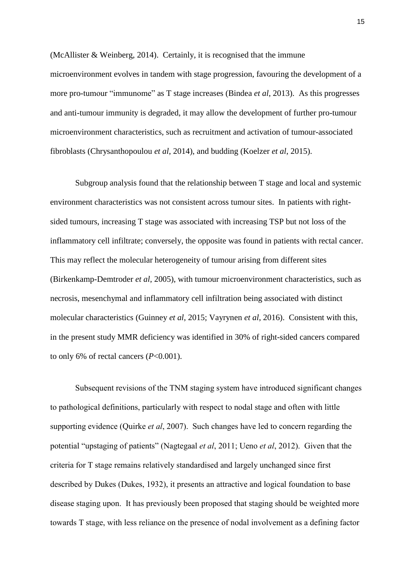(McAllister & Weinberg, 2014). Certainly, it is recognised that the immune microenvironment evolves in tandem with stage progression, favouring the development of a more pro-tumour "immunome" as T stage increases (Bindea *et al*, 2013). As this progresses and anti-tumour immunity is degraded, it may allow the development of further pro-tumour microenvironment characteristics, such as recruitment and activation of tumour-associated fibroblasts (Chrysanthopoulou *et al*, 2014), and budding (Koelzer *et al*, 2015).

Subgroup analysis found that the relationship between T stage and local and systemic environment characteristics was not consistent across tumour sites. In patients with rightsided tumours, increasing T stage was associated with increasing TSP but not loss of the inflammatory cell infiltrate; conversely, the opposite was found in patients with rectal cancer. This may reflect the molecular heterogeneity of tumour arising from different sites (Birkenkamp-Demtroder *et al*, 2005), with tumour microenvironment characteristics, such as necrosis, mesenchymal and inflammatory cell infiltration being associated with distinct molecular characteristics (Guinney *et al*, 2015; Vayrynen *et al*, 2016). Consistent with this, in the present study MMR deficiency was identified in 30% of right-sided cancers compared to only 6% of rectal cancers (*P*<0.001).

Subsequent revisions of the TNM staging system have introduced significant changes to pathological definitions, particularly with respect to nodal stage and often with little supporting evidence (Quirke *et al*, 2007). Such changes have led to concern regarding the potential "upstaging of patients" (Nagtegaal *et al*, 2011; Ueno *et al*, 2012). Given that the criteria for T stage remains relatively standardised and largely unchanged since first described by Dukes (Dukes, 1932), it presents an attractive and logical foundation to base disease staging upon. It has previously been proposed that staging should be weighted more towards T stage, with less reliance on the presence of nodal involvement as a defining factor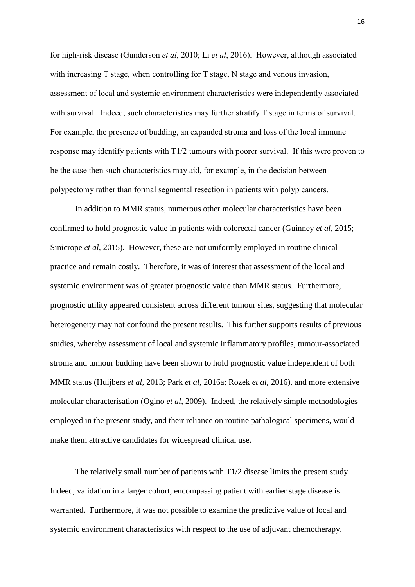for high-risk disease (Gunderson *et al*, 2010; Li *et al*, 2016). However, although associated with increasing T stage, when controlling for T stage, N stage and venous invasion, assessment of local and systemic environment characteristics were independently associated with survival. Indeed, such characteristics may further stratify T stage in terms of survival. For example, the presence of budding, an expanded stroma and loss of the local immune response may identify patients with T1/2 tumours with poorer survival. If this were proven to be the case then such characteristics may aid, for example, in the decision between polypectomy rather than formal segmental resection in patients with polyp cancers.

In addition to MMR status, numerous other molecular characteristics have been confirmed to hold prognostic value in patients with colorectal cancer (Guinney *et al*, 2015; Sinicrope *et al*, 2015). However, these are not uniformly employed in routine clinical practice and remain costly. Therefore, it was of interest that assessment of the local and systemic environment was of greater prognostic value than MMR status. Furthermore, prognostic utility appeared consistent across different tumour sites, suggesting that molecular heterogeneity may not confound the present results. This further supports results of previous studies, whereby assessment of local and systemic inflammatory profiles, tumour-associated stroma and tumour budding have been shown to hold prognostic value independent of both MMR status (Huijbers *et al*, 2013; Park *et al*, 2016a; Rozek *et al*, 2016), and more extensive molecular characterisation (Ogino *et al*, 2009). Indeed, the relatively simple methodologies employed in the present study, and their reliance on routine pathological specimens, would make them attractive candidates for widespread clinical use.

The relatively small number of patients with T1/2 disease limits the present study. Indeed, validation in a larger cohort, encompassing patient with earlier stage disease is warranted. Furthermore, it was not possible to examine the predictive value of local and systemic environment characteristics with respect to the use of adjuvant chemotherapy.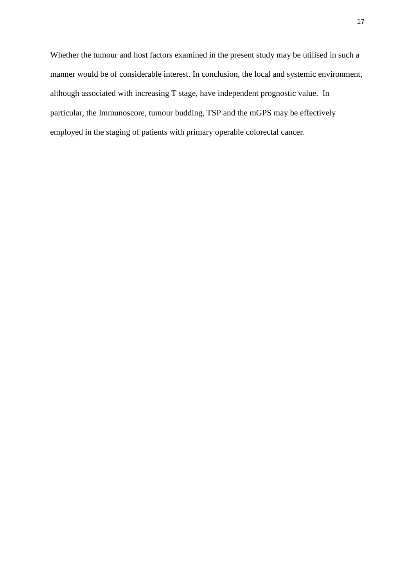Whether the tumour and host factors examined in the present study may be utilised in such a manner would be of considerable interest. In conclusion, the local and systemic environment, although associated with increasing T stage, have independent prognostic value. In particular, the Immunoscore, tumour budding, TSP and the mGPS may be effectively employed in the staging of patients with primary operable colorectal cancer.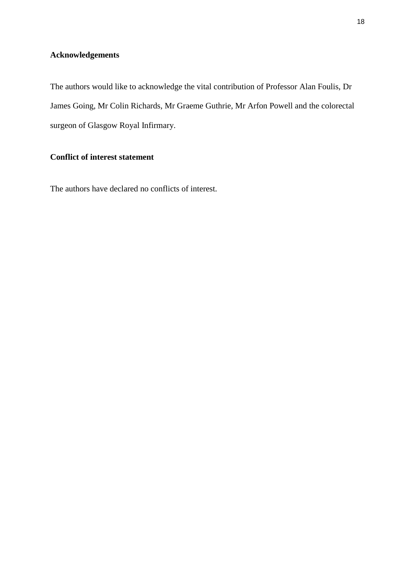## **Acknowledgements**

The authors would like to acknowledge the vital contribution of Professor Alan Foulis, Dr James Going, Mr Colin Richards, Mr Graeme Guthrie, Mr Arfon Powell and the colorectal surgeon of Glasgow Royal Infirmary.

## **Conflict of interest statement**

The authors have declared no conflicts of interest.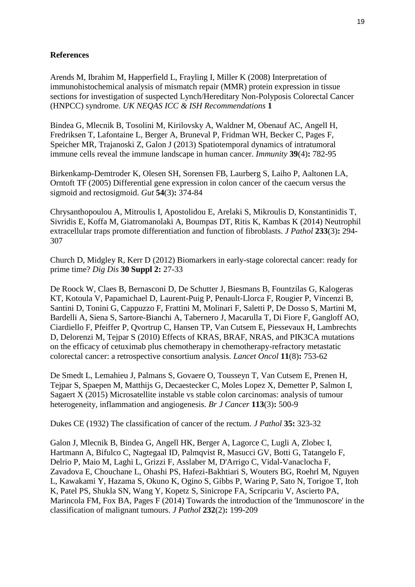## **References**

Arends M, Ibrahim M, Happerfield L, Frayling I, Miller K (2008) Interpretation of immunohistochemical analysis of mismatch repair (MMR) protein expression in tissue sections for investigation of suspected Lynch/Hereditary Non-Polyposis Colorectal Cancer (HNPCC) syndrome. *UK NEQAS ICC & ISH Recommendations* **1**

Bindea G, Mlecnik B, Tosolini M, Kirilovsky A, Waldner M, Obenauf AC, Angell H, Fredriksen T, Lafontaine L, Berger A, Bruneval P, Fridman WH, Becker C, Pages F, Speicher MR, Trajanoski Z, Galon J (2013) Spatiotemporal dynamics of intratumoral immune cells reveal the immune landscape in human cancer. *Immunity* **39**(4)**:** 782-95

Birkenkamp-Demtroder K, Olesen SH, Sorensen FB, Laurberg S, Laiho P, Aaltonen LA, Orntoft TF (2005) Differential gene expression in colon cancer of the caecum versus the sigmoid and rectosigmoid. *Gut* **54**(3)**:** 374-84

Chrysanthopoulou A, Mitroulis I, Apostolidou E, Arelaki S, Mikroulis D, Konstantinidis T, Sivridis E, Koffa M, Giatromanolaki A, Boumpas DT, Ritis K, Kambas K (2014) Neutrophil extracellular traps promote differentiation and function of fibroblasts. *J Pathol* **233**(3)**:** 294- 307

Church D, Midgley R, Kerr D (2012) Biomarkers in early-stage colorectal cancer: ready for prime time? *Dig Dis* **30 Suppl 2:** 27-33

De Roock W, Claes B, Bernasconi D, De Schutter J, Biesmans B, Fountzilas G, Kalogeras KT, Kotoula V, Papamichael D, Laurent-Puig P, Penault-Llorca F, Rougier P, Vincenzi B, Santini D, Tonini G, Cappuzzo F, Frattini M, Molinari F, Saletti P, De Dosso S, Martini M, Bardelli A, Siena S, Sartore-Bianchi A, Tabernero J, Macarulla T, Di Fiore F, Gangloff AO, Ciardiello F, Pfeiffer P, Qvortrup C, Hansen TP, Van Cutsem E, Piessevaux H, Lambrechts D, Delorenzi M, Tejpar S (2010) Effects of KRAS, BRAF, NRAS, and PIK3CA mutations on the efficacy of cetuximab plus chemotherapy in chemotherapy-refractory metastatic colorectal cancer: a retrospective consortium analysis. *Lancet Oncol* **11**(8)**:** 753-62

De Smedt L, Lemahieu J, Palmans S, Govaere O, Tousseyn T, Van Cutsem E, Prenen H, Tejpar S, Spaepen M, Matthijs G, Decaestecker C, Moles Lopez X, Demetter P, Salmon I, Sagaert X (2015) Microsatellite instable vs stable colon carcinomas: analysis of tumour heterogeneity, inflammation and angiogenesis. *Br J Cancer* **113**(3)**:** 500-9

Dukes CE (1932) The classification of cancer of the rectum. *J Pathol* **35:** 323-32

Galon J, Mlecnik B, Bindea G, Angell HK, Berger A, Lagorce C, Lugli A, Zlobec I, Hartmann A, Bifulco C, Nagtegaal ID, Palmqvist R, Masucci GV, Botti G, Tatangelo F, Delrio P, Maio M, Laghi L, Grizzi F, Asslaber M, D'Arrigo C, Vidal-Vanaclocha F, Zavadova E, Chouchane L, Ohashi PS, Hafezi-Bakhtiari S, Wouters BG, Roehrl M, Nguyen L, Kawakami Y, Hazama S, Okuno K, Ogino S, Gibbs P, Waring P, Sato N, Torigoe T, Itoh K, Patel PS, Shukla SN, Wang Y, Kopetz S, Sinicrope FA, Scripcariu V, Ascierto PA, Marincola FM, Fox BA, Pages F (2014) Towards the introduction of the 'Immunoscore' in the classification of malignant tumours. *J Pathol* **232**(2)**:** 199-209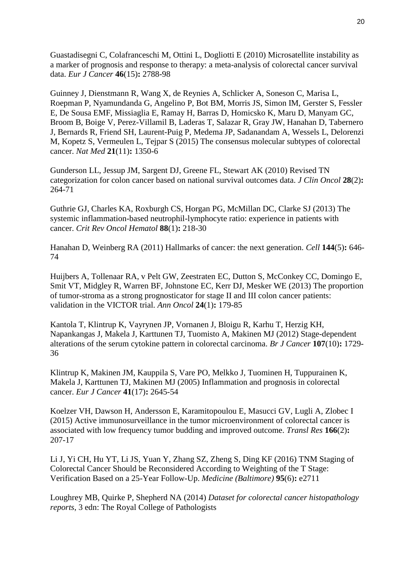Guastadisegni C, Colafranceschi M, Ottini L, Dogliotti E (2010) Microsatellite instability as a marker of prognosis and response to therapy: a meta-analysis of colorectal cancer survival data. *Eur J Cancer* **46**(15)**:** 2788-98

Guinney J, Dienstmann R, Wang X, de Reynies A, Schlicker A, Soneson C, Marisa L, Roepman P, Nyamundanda G, Angelino P, Bot BM, Morris JS, Simon IM, Gerster S, Fessler E, De Sousa EMF, Missiaglia E, Ramay H, Barras D, Homicsko K, Maru D, Manyam GC, Broom B, Boige V, Perez-Villamil B, Laderas T, Salazar R, Gray JW, Hanahan D, Tabernero J, Bernards R, Friend SH, Laurent-Puig P, Medema JP, Sadanandam A, Wessels L, Delorenzi M, Kopetz S, Vermeulen L, Tejpar S (2015) The consensus molecular subtypes of colorectal cancer. *Nat Med* **21**(11)**:** 1350-6

Gunderson LL, Jessup JM, Sargent DJ, Greene FL, Stewart AK (2010) Revised TN categorization for colon cancer based on national survival outcomes data. *J Clin Oncol* **28**(2)**:** 264-71

Guthrie GJ, Charles KA, Roxburgh CS, Horgan PG, McMillan DC, Clarke SJ (2013) The systemic inflammation-based neutrophil-lymphocyte ratio: experience in patients with cancer. *Crit Rev Oncol Hematol* **88**(1)**:** 218-30

Hanahan D, Weinberg RA (2011) Hallmarks of cancer: the next generation. *Cell* **144**(5)**:** 646- 74

Huijbers A, Tollenaar RA, v Pelt GW, Zeestraten EC, Dutton S, McConkey CC, Domingo E, Smit VT, Midgley R, Warren BF, Johnstone EC, Kerr DJ, Mesker WE (2013) The proportion of tumor-stroma as a strong prognosticator for stage II and III colon cancer patients: validation in the VICTOR trial. *Ann Oncol* **24**(1)**:** 179-85

Kantola T, Klintrup K, Vayrynen JP, Vornanen J, Bloigu R, Karhu T, Herzig KH, Napankangas J, Makela J, Karttunen TJ, Tuomisto A, Makinen MJ (2012) Stage-dependent alterations of the serum cytokine pattern in colorectal carcinoma. *Br J Cancer* **107**(10)**:** 1729- 36

Klintrup K, Makinen JM, Kauppila S, Vare PO, Melkko J, Tuominen H, Tuppurainen K, Makela J, Karttunen TJ, Makinen MJ (2005) Inflammation and prognosis in colorectal cancer. *Eur J Cancer* **41**(17)**:** 2645-54

Koelzer VH, Dawson H, Andersson E, Karamitopoulou E, Masucci GV, Lugli A, Zlobec I (2015) Active immunosurveillance in the tumor microenvironment of colorectal cancer is associated with low frequency tumor budding and improved outcome. *Transl Res* **166**(2)**:** 207-17

Li J, Yi CH, Hu YT, Li JS, Yuan Y, Zhang SZ, Zheng S, Ding KF (2016) TNM Staging of Colorectal Cancer Should be Reconsidered According to Weighting of the T Stage: Verification Based on a 25-Year Follow-Up. *Medicine (Baltimore)* **95**(6)**:** e2711

Loughrey MB, Quirke P, Shepherd NA (2014) *Dataset for colorectal cancer histopathology reports*, 3 edn: The Royal College of Pathologists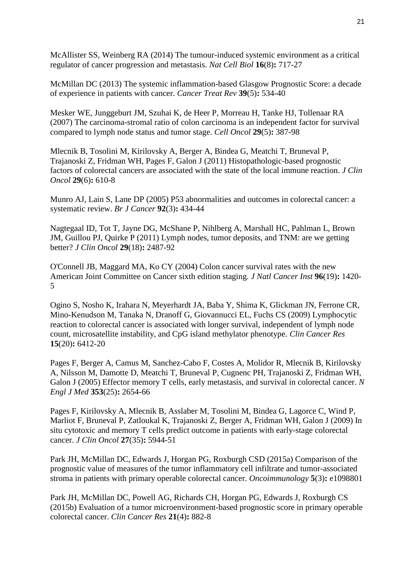McAllister SS, Weinberg RA (2014) The tumour-induced systemic environment as a critical regulator of cancer progression and metastasis. *Nat Cell Biol* **16**(8)**:** 717-27

McMillan DC (2013) The systemic inflammation-based Glasgow Prognostic Score: a decade of experience in patients with cancer. *Cancer Treat Rev* **39**(5)**:** 534-40

Mesker WE, Junggeburt JM, Szuhai K, de Heer P, Morreau H, Tanke HJ, Tollenaar RA (2007) The carcinoma-stromal ratio of colon carcinoma is an independent factor for survival compared to lymph node status and tumor stage. *Cell Oncol* **29**(5)**:** 387-98

Mlecnik B, Tosolini M, Kirilovsky A, Berger A, Bindea G, Meatchi T, Bruneval P, Trajanoski Z, Fridman WH, Pages F, Galon J (2011) Histopathologic-based prognostic factors of colorectal cancers are associated with the state of the local immune reaction. *J Clin Oncol* **29**(6)**:** 610-8

Munro AJ, Lain S, Lane DP (2005) P53 abnormalities and outcomes in colorectal cancer: a systematic review. *Br J Cancer* **92**(3)**:** 434-44

Nagtegaal ID, Tot T, Jayne DG, McShane P, Nihlberg A, Marshall HC, Pahlman L, Brown JM, Guillou PJ, Quirke P (2011) Lymph nodes, tumor deposits, and TNM: are we getting better? *J Clin Oncol* **29**(18)**:** 2487-92

O'Connell JB, Maggard MA, Ko CY (2004) Colon cancer survival rates with the new American Joint Committee on Cancer sixth edition staging. *J Natl Cancer Inst* **96**(19)**:** 1420- 5

Ogino S, Nosho K, Irahara N, Meyerhardt JA, Baba Y, Shima K, Glickman JN, Ferrone CR, Mino-Kenudson M, Tanaka N, Dranoff G, Giovannucci EL, Fuchs CS (2009) Lymphocytic reaction to colorectal cancer is associated with longer survival, independent of lymph node count, microsatellite instability, and CpG island methylator phenotype. *Clin Cancer Res* **15**(20)**:** 6412-20

Pages F, Berger A, Camus M, Sanchez-Cabo F, Costes A, Molidor R, Mlecnik B, Kirilovsky A, Nilsson M, Damotte D, Meatchi T, Bruneval P, Cugnenc PH, Trajanoski Z, Fridman WH, Galon J (2005) Effector memory T cells, early metastasis, and survival in colorectal cancer. *N Engl J Med* **353**(25)**:** 2654-66

Pages F, Kirilovsky A, Mlecnik B, Asslaber M, Tosolini M, Bindea G, Lagorce C, Wind P, Marliot F, Bruneval P, Zatloukal K, Trajanoski Z, Berger A, Fridman WH, Galon J (2009) In situ cytotoxic and memory T cells predict outcome in patients with early-stage colorectal cancer. *J Clin Oncol* **27**(35)**:** 5944-51

Park JH, McMillan DC, Edwards J, Horgan PG, Roxburgh CSD (2015a) Comparison of the prognostic value of measures of the tumor inflammatory cell infiltrate and tumor-associated stroma in patients with primary operable colorectal cancer. *Oncoimmunology* **5**(3)**:** e1098801

Park JH, McMillan DC, Powell AG, Richards CH, Horgan PG, Edwards J, Roxburgh CS (2015b) Evaluation of a tumor microenvironment-based prognostic score in primary operable colorectal cancer. *Clin Cancer Res* **21**(4)**:** 882-8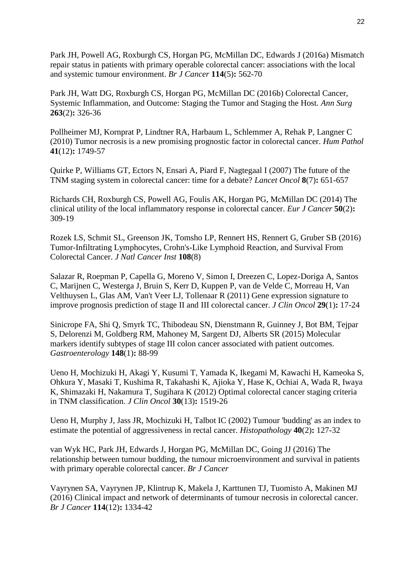Park JH, Powell AG, Roxburgh CS, Horgan PG, McMillan DC, Edwards J (2016a) Mismatch repair status in patients with primary operable colorectal cancer: associations with the local and systemic tumour environment. *Br J Cancer* **114**(5)**:** 562-70

Park JH, Watt DG, Roxburgh CS, Horgan PG, McMillan DC (2016b) Colorectal Cancer, Systemic Inflammation, and Outcome: Staging the Tumor and Staging the Host. *Ann Surg* **263**(2)**:** 326-36

Pollheimer MJ, Kornprat P, Lindtner RA, Harbaum L, Schlemmer A, Rehak P, Langner C (2010) Tumor necrosis is a new promising prognostic factor in colorectal cancer. *Hum Pathol* **41**(12)**:** 1749-57

Quirke P, Williams GT, Ectors N, Ensari A, Piard F, Nagtegaal I (2007) The future of the TNM staging system in colorectal cancer: time for a debate? *Lancet Oncol* **8**(7)**:** 651-657

Richards CH, Roxburgh CS, Powell AG, Foulis AK, Horgan PG, McMillan DC (2014) The clinical utility of the local inflammatory response in colorectal cancer. *Eur J Cancer* **50**(2)**:** 309-19

Rozek LS, Schmit SL, Greenson JK, Tomsho LP, Rennert HS, Rennert G, Gruber SB (2016) Tumor-Infiltrating Lymphocytes, Crohn's-Like Lymphoid Reaction, and Survival From Colorectal Cancer. *J Natl Cancer Inst* **108**(8)

Salazar R, Roepman P, Capella G, Moreno V, Simon I, Dreezen C, Lopez-Doriga A, Santos C, Marijnen C, Westerga J, Bruin S, Kerr D, Kuppen P, van de Velde C, Morreau H, Van Velthuysen L, Glas AM, Van't Veer LJ, Tollenaar R (2011) Gene expression signature to improve prognosis prediction of stage II and III colorectal cancer. *J Clin Oncol* **29**(1)**:** 17-24

Sinicrope FA, Shi Q, Smyrk TC, Thibodeau SN, Dienstmann R, Guinney J, Bot BM, Tejpar S, Delorenzi M, Goldberg RM, Mahoney M, Sargent DJ, Alberts SR (2015) Molecular markers identify subtypes of stage III colon cancer associated with patient outcomes. *Gastroenterology* **148**(1)**:** 88-99

Ueno H, Mochizuki H, Akagi Y, Kusumi T, Yamada K, Ikegami M, Kawachi H, Kameoka S, Ohkura Y, Masaki T, Kushima R, Takahashi K, Ajioka Y, Hase K, Ochiai A, Wada R, Iwaya K, Shimazaki H, Nakamura T, Sugihara K (2012) Optimal colorectal cancer staging criteria in TNM classification. *J Clin Oncol* **30**(13)**:** 1519-26

Ueno H, Murphy J, Jass JR, Mochizuki H, Talbot IC (2002) Tumour 'budding' as an index to estimate the potential of aggressiveness in rectal cancer. *Histopathology* **40**(2)**:** 127-32

van Wyk HC, Park JH, Edwards J, Horgan PG, McMillan DC, Going JJ (2016) The relationship between tumour budding, the tumour microenvironment and survival in patients with primary operable colorectal cancer. *Br J Cancer*

Vayrynen SA, Vayrynen JP, Klintrup K, Makela J, Karttunen TJ, Tuomisto A, Makinen MJ (2016) Clinical impact and network of determinants of tumour necrosis in colorectal cancer. *Br J Cancer* **114**(12)**:** 1334-42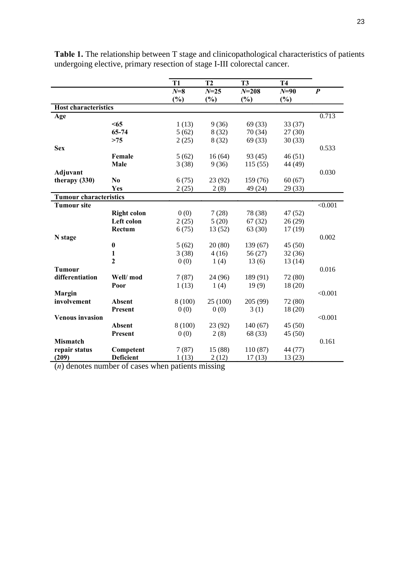|                               |                    | T <sub>1</sub> | T <sub>2</sub> | T <sub>3</sub> | <b>T4</b> |                  |
|-------------------------------|--------------------|----------------|----------------|----------------|-----------|------------------|
|                               |                    | $N=8$          | $N = 25$       | $N = 208$      | $N = 90$  | $\boldsymbol{P}$ |
|                               |                    | (%)            | $(\%)$         | (%)            | $(\%)$    |                  |
| <b>Host characteristics</b>   |                    |                |                |                |           |                  |
| Age                           |                    |                |                |                |           | 0.713            |
|                               | $65$               | 1(13)          | 9(36)          | 69 (33)        | 33 (37)   |                  |
|                               | 65-74              | 5(62)          | 8(32)          | 70 (34)        | 27(30)    |                  |
|                               | >75                | 2(25)          | 8(32)          | 69 (33)        | 30(33)    |                  |
| <b>Sex</b>                    |                    |                |                |                |           | 0.533            |
|                               | Female             | 5(62)          | 16(64)         | 93(45)         | 46(51)    |                  |
|                               | Male               | 3(38)          | 9(36)          | 115(55)        | 44 (49)   |                  |
| Adjuvant                      |                    |                |                |                |           | 0.030            |
| therapy $(330)$               | N <sub>0</sub>     | 6(75)          | 23 (92)        | 159 (76)       | 60(67)    |                  |
|                               | Yes                | 2(25)          | 2(8)           | 49 (24)        | 29 (33)   |                  |
| <b>Tumour characteristics</b> |                    |                |                |                |           |                  |
| <b>Tumour site</b>            |                    |                |                |                |           | < 0.001          |
|                               | <b>Right colon</b> | 0(0)           | 7(28)          | 78 (38)        | 47 (52)   |                  |
|                               | Left colon         | 2(25)          | 5(20)          | 67(32)         | 26(29)    |                  |
|                               | Rectum             | 6(75)          | 13 (52)        | 63(30)         | 17(19)    |                  |
| N stage                       |                    |                |                |                |           | 0.002            |
|                               | $\bf{0}$           | 5(62)          | 20(80)         | 139 (67)       | 45(50)    |                  |
|                               | 1                  | 3(38)          | 4(16)          | 56(27)         | 32(36)    |                  |
|                               | $\overline{2}$     | 0(0)           | 1(4)           | 13(6)          | 13(14)    |                  |
| <b>Tumour</b>                 |                    |                |                |                |           | 0.016            |
| differentiation               | Well/mod           | 7(87)          | 24 (96)        | 189 (91)       | 72 (80)   |                  |
|                               | Poor               | 1(13)          | 1(4)           | 19(9)          | 18 (20)   |                  |
| Margin                        |                    |                |                |                |           | < 0.001          |
| involvement                   | Absent             | 8(100)         | 25(100)        | 205 (99)       | 72 (80)   |                  |
|                               | <b>Present</b>     | 0(0)           | 0(0)           | 3(1)           | 18(20)    |                  |
| <b>Venous invasion</b>        |                    |                |                |                |           | < 0.001          |
|                               | Absent             | 8(100)         | 23 (92)        | 140(67)        | 45(50)    |                  |
|                               | Present            | 0(0)           | 2(8)           | 68 (33)        | 45(50)    |                  |
| <b>Mismatch</b>               |                    |                |                |                |           | 0.161            |
| repair status                 | Competent          | 7(87)          | 15 (88)        | 110 (87)       | 44 (77)   |                  |
| (209)                         | <b>Deficient</b>   | 1(13)          | 2(12)          | 17(13)         | 13(23)    |                  |

**Table 1.** The relationship between T stage and clinicopathological characteristics of patients undergoing elective, primary resection of stage I-III colorectal cancer.

(*n*) denotes number of cases when patients missing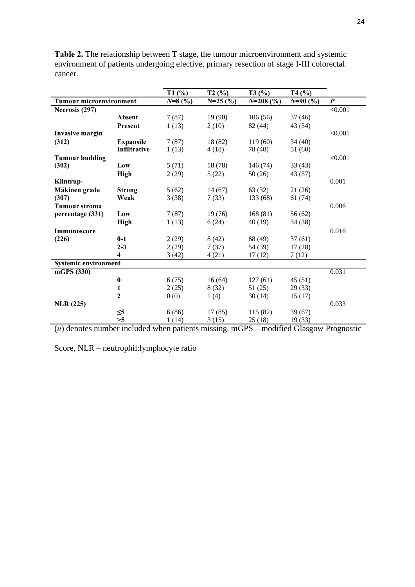|                                |                     | T1(%)    | T2(%)     | T3(%)                     | T4(%)     |                  |
|--------------------------------|---------------------|----------|-----------|---------------------------|-----------|------------------|
| <b>Tumour microenvironment</b> |                     | $N=8(%)$ | $N=25(%)$ | $N=208(%)$                | $N=90(%)$ | $\boldsymbol{P}$ |
| Necrosis (297)                 |                     |          |           |                           |           | < 0.001          |
|                                | <b>Absent</b>       | 7(87)    | 19(90)    | 106(56)                   | 37(46)    |                  |
|                                | <b>Present</b>      | 1(13)    | 2(10)     | 82 (44)                   | 43 (54)   |                  |
| <b>Invasive margin</b>         |                     |          |           |                           |           | < 0.001          |
| (312)                          | <b>Expansile</b>    | 7(87)    | 18 (82)   | 119(60)                   | 34(40)    |                  |
|                                | <b>Infiltrative</b> | 1(13)    | 4(18)     | 78 (40)                   | 51 (60)   |                  |
| <b>Tumour budding</b>          |                     |          |           |                           |           | < 0.001          |
| (302)                          | Low                 | 5(71)    | 18 (78)   | 146 (74)                  | 33(43)    |                  |
|                                | <b>High</b>         | 2(29)    | 5(22)     | 50(26)                    | 43 (57)   |                  |
| Klintrup-                      |                     |          |           |                           |           | 0.001            |
| Mäkinen grade                  | <b>Strong</b>       | 5(62)    | 14(67)    | 63 (32)                   | 21(26)    |                  |
| (307)                          | Weak                | 3(38)    | 7(33)     | 133 (68)                  | 61(74)    |                  |
| Tumour stroma                  |                     |          |           |                           |           | 0.006            |
| percentage (331)               | Low                 | 7(87)    | 19(76)    | 168(81)                   | 56 (62)   |                  |
|                                | <b>High</b>         | 1(13)    | 6(24)     | 40 (19)                   | 34 (38)   |                  |
| Immunoscore                    |                     |          |           |                           |           | 0.016            |
| (226)                          | $0-1$               | 2(29)    | 8(42)     | 68 (49)                   | 37(61)    |                  |
|                                | $2 - 3$             | 2(29)    | 7(37)     | 54 (39)                   | 17(28)    |                  |
|                                | 4                   | 3(42)    | 4(21)     | 17(12)                    | 7(12)     |                  |
| <b>Systemic environment</b>    |                     |          |           |                           |           |                  |
| mGPS (330)                     |                     |          |           |                           |           | 0.031            |
|                                | $\bf{0}$            | 6(75)    | 16(64)    | 127(61)                   | 45(51)    |                  |
|                                | 1                   | 2(25)    | 8(32)     | 51(25)                    | 29(33)    |                  |
|                                | $\mathbf{2}$        | 0(0)     | 1(4)      | 30(14)                    | 15(17)    |                  |
| <b>NLR</b> (225)               |                     |          |           |                           |           | 0.033            |
|                                | $\leq 5$            | 6(86)    | 17(85)    | 115(82)                   | 39(67)    |                  |
|                                | >5                  | 1(14)    | 3(15)     | 25(18)                    | 19(33)    |                  |
|                                |                     |          |           | $\cdots$<br>$\sim$ $\sim$ | $\sim$    | $\blacksquare$   |

**Table 2.** The relationship between T stage, the tumour microenvironment and systemic environment of patients undergoing elective, primary resection of stage I-III colorectal cancer.

(*n*) denotes number included when patients missing. mGPS – modified Glasgow Prognostic

Score, NLR – neutrophil:lymphocyte ratio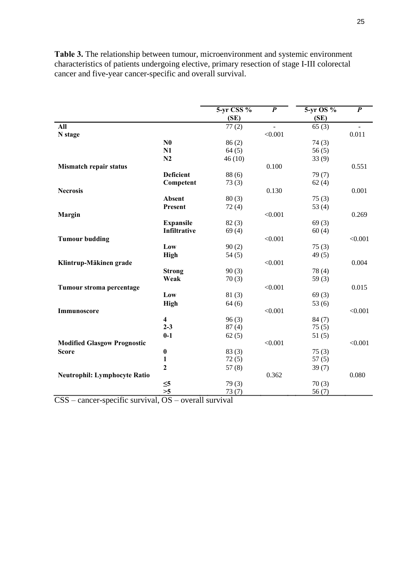|                                     |                  | 5-yr CSS % | $\overline{P}$ | 5-yr OS % | $\overline{P}$ |
|-------------------------------------|------------------|------------|----------------|-----------|----------------|
|                                     |                  | (SE)       |                | (SE)      |                |
| All                                 |                  | 77(2)      | L.             | 65(3)     |                |
| N stage                             |                  |            | < 0.001        |           | 0.011          |
|                                     | N <sub>0</sub>   | 86(2)      |                | 74(3)     |                |
|                                     | N1               | 64(5)      |                | 56(5)     |                |
|                                     | N <sub>2</sub>   | 46(10)     |                | 33(9)     |                |
| Mismatch repair status              |                  |            | 0.100          |           | 0.551          |
|                                     | <b>Deficient</b> | 88(6)      |                | 79(7)     |                |
|                                     | Competent        | 73(3)      |                | 62(4)     |                |
| <b>Necrosis</b>                     |                  |            | 0.130          |           | 0.001          |
|                                     | <b>Absent</b>    | 80(3)      |                | 75(3)     |                |
|                                     | Present          | 72(4)      |                | 53 $(4)$  |                |
| Margin                              |                  |            | < 0.001        |           | 0.269          |
|                                     | <b>Expansile</b> | 82(3)      |                | 69(3)     |                |
|                                     | Infiltrative     | 69(4)      |                | 60(4)     |                |
| <b>Tumour budding</b>               |                  |            | < 0.001        |           | < 0.001        |
|                                     | Low              | 90(2)      |                | 75(3)     |                |
|                                     | <b>High</b>      | 54(5)      |                | 49(5)     |                |
| Klintrup-Mäkinen grade              |                  |            | < 0.001        |           | 0.004          |
|                                     | <b>Strong</b>    | 90(3)      |                | 78(4)     |                |
|                                     | Weak             | 70(3)      |                | 59 $(3)$  |                |
| Tumour stroma percentage            |                  |            | < 0.001        |           | 0.015          |
|                                     | Low              | 81(3)      |                | 69(3)     |                |
|                                     | High             | 64(6)      |                | 53(6)     |                |
| Immunoscore                         |                  |            | < 0.001        |           | < 0.001        |
|                                     | 4                | 96(3)      |                | 84(7)     |                |
|                                     | $2 - 3$          | 87(4)      |                | 75(5)     |                |
|                                     | $0-1$            | 62(5)      |                | 51(5)     |                |
| <b>Modified Glasgow Prognostic</b>  |                  |            | < 0.001        |           | < 0.001        |
| <b>Score</b>                        | $\boldsymbol{0}$ | 83(3)      |                | 75(3)     |                |
|                                     | $\mathbf{1}$     | 72(5)      |                | 57(5)     |                |
|                                     | $\overline{2}$   | 57(8)      |                | 39(7)     |                |
| <b>Neutrophil: Lymphocyte Ratio</b> |                  |            | 0.362          |           | 0.080          |
|                                     | $\leq 5$         | 79(3)      |                | 70(3)     |                |
|                                     | >5               | 73(7)      |                | 56(7)     |                |

**Table 3.** The relationship between tumour, microenvironment and systemic environment characteristics of patients undergoing elective, primary resection of stage I-III colorectal cancer and five-year cancer-specific and overall survival.

CSS – cancer-specific survival, OS – overall survival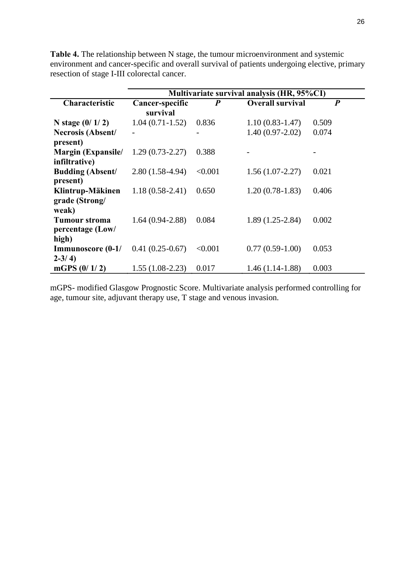**Table 4.** The relationship between N stage, the tumour microenvironment and systemic environment and cancer-specific and overall survival of patients undergoing elective, primary resection of stage I-III colorectal cancer.

|                          | Multivariate survival analysis (HR, 95%CI) |                  |                         |                  |  |  |  |  |  |  |
|--------------------------|--------------------------------------------|------------------|-------------------------|------------------|--|--|--|--|--|--|
| Characteristic           | Cancer-specific                            | $\boldsymbol{P}$ | <b>Overall survival</b> | $\boldsymbol{P}$ |  |  |  |  |  |  |
|                          | survival                                   |                  |                         |                  |  |  |  |  |  |  |
| N stage $(0/1/2)$        | $1.04(0.71-1.52)$                          | 0.836            | $1.10(0.83-1.47)$       | 0.509            |  |  |  |  |  |  |
| <b>Necrosis (Absent/</b> |                                            |                  | $1.40(0.97 - 2.02)$     | 0.074            |  |  |  |  |  |  |
| present)                 |                                            |                  |                         |                  |  |  |  |  |  |  |
| Margin (Expansile/       | $1.29(0.73 - 2.27)$                        | 0.388            |                         |                  |  |  |  |  |  |  |
| infiltrative)            |                                            |                  |                         |                  |  |  |  |  |  |  |
| <b>Budding (Absent/</b>  | $2.80(1.58-4.94)$                          | < 0.001          | $1.56(1.07-2.27)$       | 0.021            |  |  |  |  |  |  |
| present)                 |                                            |                  |                         |                  |  |  |  |  |  |  |
| Klintrup-Mäkinen         | $1.18(0.58-2.41)$                          | 0.650            | $1.20(0.78-1.83)$       | 0.406            |  |  |  |  |  |  |
| grade (Strong/           |                                            |                  |                         |                  |  |  |  |  |  |  |
| weak)                    |                                            |                  |                         |                  |  |  |  |  |  |  |
| <b>Tumour stroma</b>     | $1.64(0.94 - 2.88)$                        | 0.084            | $1.89(1.25-2.84)$       | 0.002            |  |  |  |  |  |  |
| percentage (Low/         |                                            |                  |                         |                  |  |  |  |  |  |  |
| high)                    |                                            |                  |                         |                  |  |  |  |  |  |  |
| Immunoscore (0-1/        | $0.41(0.25-0.67)$                          | < 0.001          | $0.77(0.59-1.00)$       | 0.053            |  |  |  |  |  |  |
| $2 - 3/4$                |                                            |                  |                         |                  |  |  |  |  |  |  |
| mGPS $(0/1/2)$           | $1.55(1.08-2.23)$                          | 0.017            | $1.46(1.14-1.88)$       | 0.003            |  |  |  |  |  |  |

mGPS- modified Glasgow Prognostic Score. Multivariate analysis performed controlling for age, tumour site, adjuvant therapy use, T stage and venous invasion.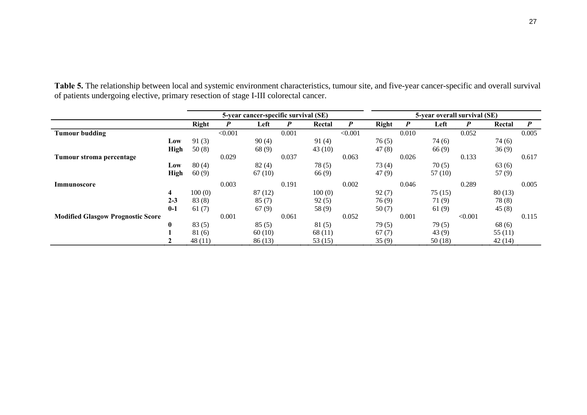|                                          |             |         | 5-year cancer-specific survival (SE) |        |       |         | 5-year overall survival (SE) |              |                  |        |         |        |                  |
|------------------------------------------|-------------|---------|--------------------------------------|--------|-------|---------|------------------------------|--------------|------------------|--------|---------|--------|------------------|
|                                          |             | Right   | P                                    | Left   | P     | Rectal  | $\boldsymbol{P}$             | <b>Right</b> | $\boldsymbol{P}$ | Left   | P       | Rectal | $\boldsymbol{P}$ |
| <b>Tumour budding</b>                    |             |         | < 0.001                              |        | 0.001 |         | < 0.001                      |              | 0.010            |        | 0.052   |        | 0.005            |
|                                          | Low         | 91(3)   |                                      | 90(4)  |       | 91(4)   |                              | 76(5)        |                  | 74 (6) |         | 74 (6) |                  |
|                                          | <b>High</b> | 50(8)   |                                      | 68(9)  |       | 43(10)  |                              | 47(8)        |                  | 66(9)  |         | 36(9)  |                  |
| Tumour stroma percentage                 |             |         | 0.029                                |        | 0.037 |         | 0.063                        |              | 0.026            |        | 0.133   |        | 0.617            |
|                                          | Low         | 80(4)   |                                      | 82(4)  |       | 78(5)   |                              | 73(4)        |                  | 70(5)  |         | 63(6)  |                  |
|                                          | <b>High</b> | 60(9)   |                                      | 67(10) |       | 66(9)   |                              | 47(9)        |                  | 57(10) |         | 57(9)  |                  |
| Immunoscore                              |             |         | 0.003                                |        | 0.191 |         | 0.002                        |              | 0.046            |        | 0.289   |        | 0.005            |
|                                          | 4           | 100(0)  |                                      | 87(12) |       | 100(0)  |                              | 92(7)        |                  | 75(15) |         | 80(13) |                  |
|                                          | $2 - 3$     | 83(8)   |                                      | 85(7)  |       | 92(5)   |                              | 76(9)        |                  | 71(9)  |         | 78(8)  |                  |
|                                          | $0-1$       | 61(7)   |                                      | 67(9)  |       | 58 (9)  |                              | 50(7)        |                  | 61(9)  |         | 45(8)  |                  |
| <b>Modified Glasgow Prognostic Score</b> |             |         | 0.001                                |        | 0.061 |         | 0.052                        |              | 0.001            |        | < 0.001 |        | 0.115            |
|                                          | $\bf{0}$    | 83(5)   |                                      | 85(5)  |       | 81(5)   |                              | 79(5)        |                  | 79(5)  |         | 68 (6) |                  |
|                                          |             | 81(6)   |                                      | 60(10) |       | 68(11)  |                              | 67(7)        |                  | 43(9)  |         | 55(11) |                  |
|                                          |             | 48 (11) |                                      | 86(13) |       | 53 (15) |                              | 35(9)        |                  | 50(18) |         | 42(14) |                  |

**Table 5.** The relationship between local and systemic environment characteristics, tumour site, and five-year cancer-specific and overall survival of patients undergoing elective, primary resection of stage I-III colorectal cancer.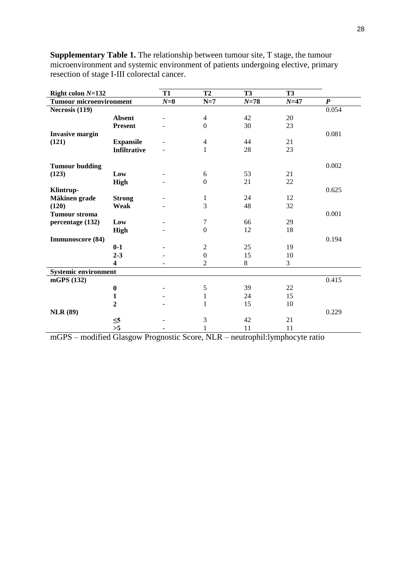| Right colon $N=132$            |                         | <b>T1</b> | <b>T2</b>        | <b>T3</b> | <b>T3</b> |                  |
|--------------------------------|-------------------------|-----------|------------------|-----------|-----------|------------------|
| <b>Tumour microenvironment</b> |                         | $N=0$     | $N=7$            | $N=78$    | $N=47$    | $\boldsymbol{P}$ |
| Necrosis (119)                 |                         |           |                  |           |           | 0.054            |
|                                | <b>Absent</b>           |           | $\overline{4}$   | 42        | 20        |                  |
|                                | <b>Present</b>          |           | $\boldsymbol{0}$ | 30        | 23        |                  |
| <b>Invasive margin</b>         |                         |           |                  |           |           | 0.081            |
| (121)                          | <b>Expansile</b>        |           | $\overline{4}$   | 44        | 21        |                  |
|                                | <b>Infiltrative</b>     |           | $\mathbf{1}$     | 28        | 23        |                  |
|                                |                         |           |                  |           |           |                  |
| <b>Tumour budding</b>          |                         |           |                  |           |           | 0.002            |
| (123)                          | Low                     |           | 6                | 53        | 21        |                  |
|                                | <b>High</b>             |           | $\mathbf{0}$     | 21        | 22        |                  |
| Klintrup-                      |                         |           |                  |           |           | 0.625            |
| Mäkinen grade                  | <b>Strong</b>           |           | $\mathbf{1}$     | 24        | 12        |                  |
| (120)                          | Weak                    |           | 3                | 48        | 32        |                  |
| <b>Tumour stroma</b>           |                         |           |                  |           |           | 0.001            |
| percentage (132)               | Low                     |           | 7                | 66        | 29        |                  |
|                                | <b>High</b>             |           | $\boldsymbol{0}$ | 12        | $18\,$    |                  |
| Immunoscore (84)               |                         |           |                  |           |           | 0.194            |
|                                | $0-1$                   |           | $\sqrt{2}$       | 25        | 19        |                  |
|                                | $2 - 3$                 |           | $\boldsymbol{0}$ | 15        | 10        |                  |
|                                | $\overline{\mathbf{4}}$ |           | $\overline{2}$   | 8         | 3         |                  |
| <b>Systemic environment</b>    |                         |           |                  |           |           |                  |
| mGPS (132)                     |                         |           |                  |           |           | 0.415            |
|                                | $\bf{0}$                |           | $\sqrt{5}$       | 39        | 22        |                  |
|                                | $\mathbf{1}$            |           | $\mathbf{1}$     | 24        | 15        |                  |
|                                | $\overline{2}$          |           | 1                | 15        | 10        |                  |
| <b>NLR</b> (89)                |                         |           |                  |           |           | 0.229            |
|                                | $\leq 5$                |           | $\mathfrak{Z}$   | 42        | 21        |                  |
|                                | >5                      |           | 1                | 11        | 11        |                  |

**Supplementary Table 1.** The relationship between tumour site, T stage, the tumour microenvironment and systemic environment of patients undergoing elective, primary resection of stage I-III colorectal cancer.

mGPS – modified Glasgow Prognostic Score, NLR – neutrophil:lymphocyte ratio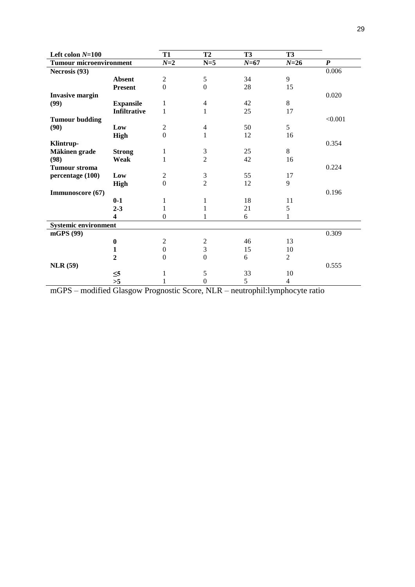| Left colon $N=100$             |                  | <b>T1</b>        | T <sub>2</sub>   | T <sub>3</sub> | <b>T3</b>      |                  |
|--------------------------------|------------------|------------------|------------------|----------------|----------------|------------------|
| <b>Tumour microenvironment</b> |                  | $N=2$            | $N=5$            | $N=67$         | $N=26$         | $\boldsymbol{P}$ |
| Necrosis (93)                  |                  |                  |                  |                |                | 0.006            |
|                                | <b>Absent</b>    | $\overline{c}$   | 5                | 34             | 9              |                  |
|                                | <b>Present</b>   | $\boldsymbol{0}$ | $\boldsymbol{0}$ | 28             | 15             |                  |
| <b>Invasive margin</b>         |                  |                  |                  |                |                | 0.020            |
| (99)                           | <b>Expansile</b> | 1                | $\overline{4}$   | 42             | 8              |                  |
|                                | Infiltrative     | 1                | 1                | 25             | 17             |                  |
| <b>Tumour budding</b>          |                  |                  |                  |                |                | < 0.001          |
| (90)                           | Low              | $\mathfrak{2}$   | $\overline{4}$   | 50             | 5              |                  |
|                                | <b>High</b>      | $\mathbf{0}$     | 1                | 12             | 16             |                  |
| Klintrup-                      |                  |                  |                  |                |                | 0.354            |
| Mäkinen grade                  | <b>Strong</b>    | 1                | $\mathfrak 3$    | 25             | 8              |                  |
| (98)                           | Weak             | 1                | $\overline{2}$   | 42             | 16             |                  |
| <b>Tumour stroma</b>           |                  |                  |                  |                |                | 0.224            |
| percentage (100)               | Low              | $\mathfrak{2}$   | $\mathfrak{Z}$   | 55             | 17             |                  |
|                                | <b>High</b>      | $\Omega$         | $\overline{2}$   | 12             | 9              |                  |
| Immunoscore (67)               |                  |                  |                  |                |                | 0.196            |
|                                | $0-1$            | 1                | 1                | $18\,$         | 11             |                  |
|                                | $2 - 3$          | 1                | 1                | 21             | 5              |                  |
|                                | 4                | $\mathbf{0}$     |                  | 6              | 1              |                  |
| <b>Systemic environment</b>    |                  |                  |                  |                |                |                  |
| mGPS (99)                      |                  |                  |                  |                |                | 0.309            |
|                                | $\boldsymbol{0}$ | $\mathfrak{2}$   | $\boldsymbol{2}$ | 46             | 13             |                  |
|                                | 1                | $\mathbf{0}$     | 3                | 15             | 10             |                  |
|                                | $\overline{2}$   | $\mathbf{0}$     | $\mathbf{0}$     | 6              | $\overline{2}$ |                  |
| <b>NLR</b> (59)                |                  |                  |                  |                |                | 0.555            |
|                                | $\leq 5$         |                  | 5                | 33             | 10             |                  |
|                                | >5               |                  | $\boldsymbol{0}$ | 5              | $\overline{4}$ |                  |

mGPS – modified Glasgow Prognostic Score, NLR – neutrophil:lymphocyte ratio